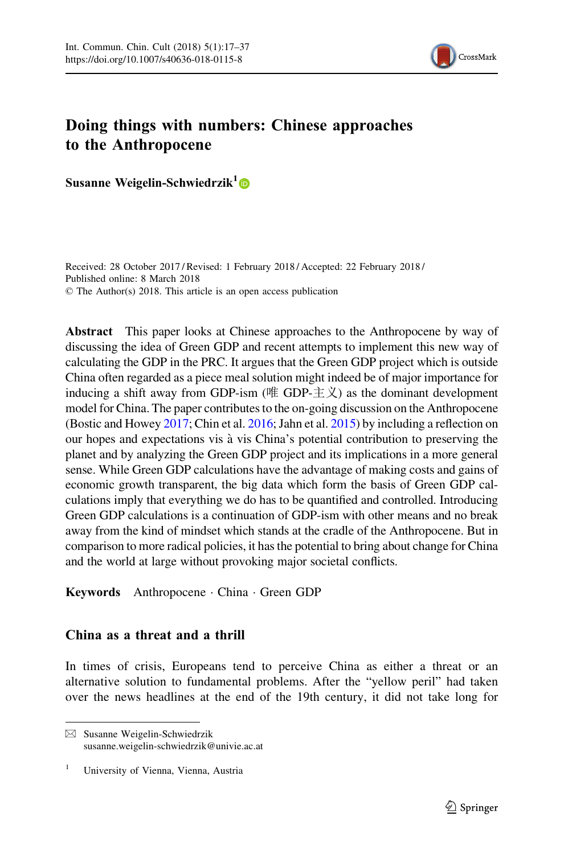

# Doing things with numbers: Chinese approaches to the Anthropocene

Susanne Weigelin-Schwiedrzik<sup>1</sup>

Received: 28 October 2017 / Revised: 1 February 2018 / Accepted: 22 February 2018 / Published online: 8 March 2018 © The Author(s) 2018. This article is an open access publication

Abstract This paper looks at Chinese approaches to the Anthropocene by way of discussing the idea of Green GDP and recent attempts to implement this new way of calculating the GDP in the PRC. It argues that the Green GDP project which is outside China often regarded as a piece meal solution might indeed be of major importance for inducing a shift away from GDP-ism (唯 GDP-主义) as the dominant development model for China. The paper contributes to the on-going discussion on the Anthropocene (Bostic and Howey [2017](#page-18-0); Chin et al. [2016;](#page-19-0) Jahn et al. [2015](#page-19-0)) by including a reflection on our hopes and expectations vis à vis China's potential contribution to preserving the planet and by analyzing the Green GDP project and its implications in a more general sense. While Green GDP calculations have the advantage of making costs and gains of economic growth transparent, the big data which form the basis of Green GDP calculations imply that everything we do has to be quantified and controlled. Introducing Green GDP calculations is a continuation of GDP-ism with other means and no break away from the kind of mindset which stands at the cradle of the Anthropocene. But in comparison to more radical policies, it has the potential to bring about change for China and the world at large without provoking major societal conflicts.

Keywords Anthropocene · China · Green GDP

## China as a threat and a thrill

In times of crisis, Europeans tend to perceive China as either a threat or an alternative solution to fundamental problems. After the "yellow peril" had taken over the news headlines at the end of the 19th century, it did not take long for

<sup>&</sup>amp; Susanne Weigelin-Schwiedrzik susanne.weigelin-schwiedrzik@univie.ac.at

<sup>&</sup>lt;sup>1</sup> University of Vienna, Vienna, Austria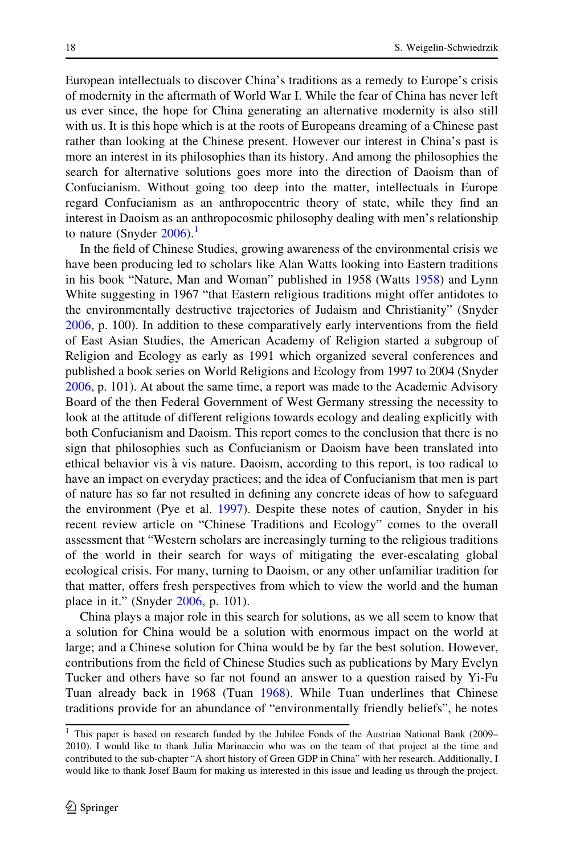European intellectuals to discover China's traditions as a remedy to Europe's crisis of modernity in the aftermath of World War I. While the fear of China has never left us ever since, the hope for China generating an alternative modernity is also still with us. It is this hope which is at the roots of Europeans dreaming of a Chinese past rather than looking at the Chinese present. However our interest in China's past is more an interest in its philosophies than its history. And among the philosophies the search for alternative solutions goes more into the direction of Daoism than of Confucianism. Without going too deep into the matter, intellectuals in Europe regard Confucianism as an anthropocentric theory of state, while they find an interest in Daoism as an anthropocosmic philosophy dealing with men's relationship to nature (Snyder  $2006$ ).<sup>1</sup>

In the field of Chinese Studies, growing awareness of the environmental crisis we have been producing led to scholars like Alan Watts looking into Eastern traditions in his book "Nature, Man and Woman" published in 1958 (Watts [1958\)](#page-20-0) and Lynn White suggesting in 1967 "that Eastern religious traditions might offer antidotes to the environmentally destructive trajectories of Judaism and Christianity" (Snyder [2006,](#page-20-0) p. 100). In addition to these comparatively early interventions from the field of East Asian Studies, the American Academy of Religion started a subgroup of Religion and Ecology as early as 1991 which organized several conferences and published a book series on World Religions and Ecology from 1997 to 2004 (Snyder [2006,](#page-20-0) p. 101). At about the same time, a report was made to the Academic Advisory Board of the then Federal Government of West Germany stressing the necessity to look at the attitude of different religions towards ecology and dealing explicitly with both Confucianism and Daoism. This report comes to the conclusion that there is no sign that philosophies such as Confucianism or Daoism have been translated into ethical behavior vis à vis nature. Daoism, according to this report, is too radical to have an impact on everyday practices; and the idea of Confucianism that men is part of nature has so far not resulted in defining any concrete ideas of how to safeguard the environment (Pye et al. [1997\)](#page-19-0). Despite these notes of caution, Snyder in his recent review article on "Chinese Traditions and Ecology" comes to the overall assessment that "Western scholars are increasingly turning to the religious traditions of the world in their search for ways of mitigating the ever-escalating global ecological crisis. For many, turning to Daoism, or any other unfamiliar tradition for that matter, offers fresh perspectives from which to view the world and the human place in it." (Snyder [2006](#page-20-0), p. 101).

China plays a major role in this search for solutions, as we all seem to know that a solution for China would be a solution with enormous impact on the world at large; and a Chinese solution for China would be by far the best solution. However, contributions from the field of Chinese Studies such as publications by Mary Evelyn Tucker and others have so far not found an answer to a question raised by Yi-Fu Tuan already back in 1968 (Tuan [1968\)](#page-20-0). While Tuan underlines that Chinese traditions provide for an abundance of "environmentally friendly beliefs", he notes

 $1$  This paper is based on research funded by the Jubilee Fonds of the Austrian National Bank (2009– 2010). I would like to thank Julia Marinaccio who was on the team of that project at the time and contributed to the sub-chapter "A short history of Green GDP in China" with her research. Additionally, I would like to thank Josef Baum for making us interested in this issue and leading us through the project.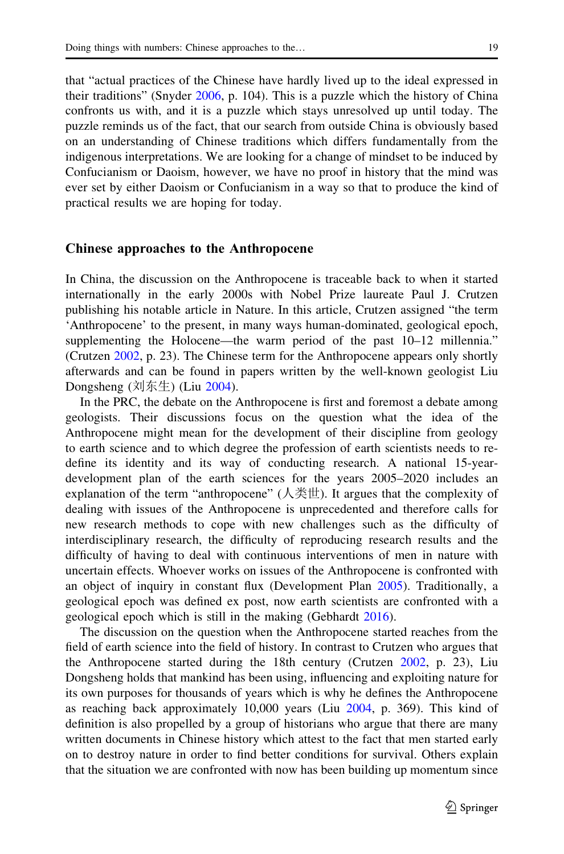that "actual practices of the Chinese have hardly lived up to the ideal expressed in their traditions" (Snyder [2006](#page-20-0), p. 104). This is a puzzle which the history of China confronts us with, and it is a puzzle which stays unresolved up until today. The puzzle reminds us of the fact, that our search from outside China is obviously based on an understanding of Chinese traditions which differs fundamentally from the indigenous interpretations. We are looking for a change of mindset to be induced by Confucianism or Daoism, however, we have no proof in history that the mind was ever set by either Daoism or Confucianism in a way so that to produce the kind of practical results we are hoping for today.

#### Chinese approaches to the Anthropocene

In China, the discussion on the Anthropocene is traceable back to when it started internationally in the early 2000s with Nobel Prize laureate Paul J. Crutzen publishing his notable article in Nature. In this article, Crutzen assigned "the term 'Anthropocene' to the present, in many ways human-dominated, geological epoch, supplementing the Holocene—the warm period of the past  $10-12$  millennia." (Crutzen [2002,](#page-19-0) p. 23). The Chinese term for the Anthropocene appears only shortly afterwards and can be found in papers written by the well-known geologist Liu Dongsheng (刘东生) (Liu [2004](#page-19-0)).

In the PRC, the debate on the Anthropocene is first and foremost a debate among geologists. Their discussions focus on the question what the idea of the Anthropocene might mean for the development of their discipline from geology to earth science and to which degree the profession of earth scientists needs to redefine its identity and its way of conducting research. A national 15-yeardevelopment plan of the earth sciences for the years 2005–2020 includes an explanation of the term "anthropocene"  $(\lambda \cancel{\#} \mathbf{t})$ . It argues that the complexity of dealing with issues of the Anthropocene is unprecedented and therefore calls for new research methods to cope with new challenges such as the difficulty of interdisciplinary research, the difficulty of reproducing research results and the difficulty of having to deal with continuous interventions of men in nature with uncertain effects. Whoever works on issues of the Anthropocene is confronted with an object of inquiry in constant flux (Development Plan [2005](#page-19-0)). Traditionally, a geological epoch was defined ex post, now earth scientists are confronted with a geological epoch which is still in the making (Gebhardt [2016](#page-19-0)).

The discussion on the question when the Anthropocene started reaches from the field of earth science into the field of history. In contrast to Crutzen who argues that the Anthropocene started during the 18th century (Crutzen [2002](#page-19-0), p. 23), Liu Dongsheng holds that mankind has been using, influencing and exploiting nature for its own purposes for thousands of years which is why he defines the Anthropocene as reaching back approximately 10,000 years (Liu [2004,](#page-19-0) p. 369). This kind of definition is also propelled by a group of historians who argue that there are many written documents in Chinese history which attest to the fact that men started early on to destroy nature in order to find better conditions for survival. Others explain that the situation we are confronted with now has been building up momentum since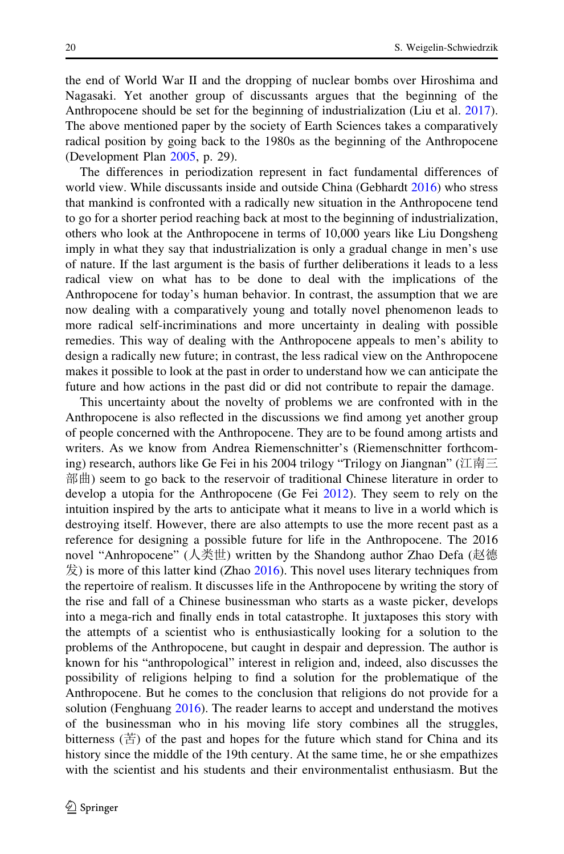the end of World War II and the dropping of nuclear bombs over Hiroshima and Nagasaki. Yet another group of discussants argues that the beginning of the Anthropocene should be set for the beginning of industrialization (Liu et al. [2017\)](#page-19-0). The above mentioned paper by the society of Earth Sciences takes a comparatively radical position by going back to the 1980s as the beginning of the Anthropocene (Development Plan [2005,](#page-19-0) p. 29).

The differences in periodization represent in fact fundamental differences of world view. While discussants inside and outside China (Gebhardt [2016\)](#page-19-0) who stress that mankind is confronted with a radically new situation in the Anthropocene tend to go for a shorter period reaching back at most to the beginning of industrialization, others who look at the Anthropocene in terms of 10,000 years like Liu Dongsheng imply in what they say that industrialization is only a gradual change in men's use of nature. If the last argument is the basis of further deliberations it leads to a less radical view on what has to be done to deal with the implications of the Anthropocene for today's human behavior. In contrast, the assumption that we are now dealing with a comparatively young and totally novel phenomenon leads to more radical self-incriminations and more uncertainty in dealing with possible remedies. This way of dealing with the Anthropocene appeals to men's ability to design a radically new future; in contrast, the less radical view on the Anthropocene makes it possible to look at the past in order to understand how we can anticipate the future and how actions in the past did or did not contribute to repair the damage.

This uncertainty about the novelty of problems we are confronted with in the Anthropocene is also reflected in the discussions we find among yet another group of people concerned with the Anthropocene. They are to be found among artists and writers. As we know from Andrea Riemenschnitter's (Riemenschnitter forthcoming) research, authors like Ge Fei in his 2004 trilogy "Trilogy on Jiangnan" (江南三 部曲) seem to go back to the reservoir of traditional Chinese literature in order to develop a utopia for the Anthropocene (Ge Fei [2012](#page-19-0)). They seem to rely on the intuition inspired by the arts to anticipate what it means to live in a world which is destroying itself. However, there are also attempts to use the more recent past as a reference for designing a possible future for life in the Anthropocene. The 2016 novel "Anhropocene" (人类世) written by the Shandong author Zhao Defa (赵德  $\hat{\chi}$ ) is more of this latter kind (Zhao [2016](#page-20-0)). This novel uses literary techniques from the repertoire of realism. It discusses life in the Anthropocene by writing the story of the rise and fall of a Chinese businessman who starts as a waste picker, develops into a mega-rich and finally ends in total catastrophe. It juxtaposes this story with the attempts of a scientist who is enthusiastically looking for a solution to the problems of the Anthropocene, but caught in despair and depression. The author is known for his "anthropological" interest in religion and, indeed, also discusses the possibility of religions helping to find a solution for the problematique of the Anthropocene. But he comes to the conclusion that religions do not provide for a solution (Fenghuang [2016\)](#page-19-0). The reader learns to accept and understand the motives of the businessman who in his moving life story combines all the struggles, bitterness  $($ 苦) of the past and hopes for the future which stand for China and its history since the middle of the 19th century. At the same time, he or she empathizes with the scientist and his students and their environmentalist enthusiasm. But the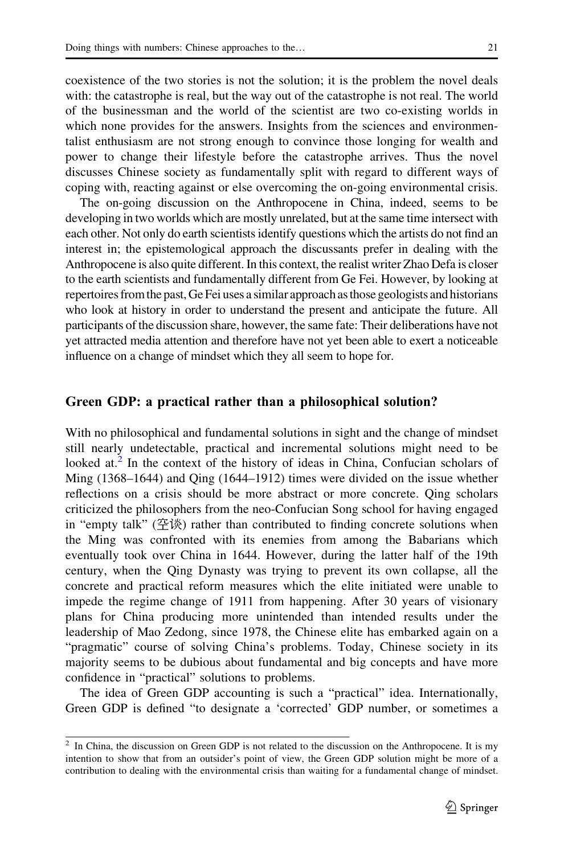coexistence of the two stories is not the solution; it is the problem the novel deals with: the catastrophe is real, but the way out of the catastrophe is not real. The world of the businessman and the world of the scientist are two co-existing worlds in which none provides for the answers. Insights from the sciences and environmentalist enthusiasm are not strong enough to convince those longing for wealth and power to change their lifestyle before the catastrophe arrives. Thus the novel discusses Chinese society as fundamentally split with regard to different ways of coping with, reacting against or else overcoming the on-going environmental crisis.

The on-going discussion on the Anthropocene in China, indeed, seems to be developing in two worlds which are mostly unrelated, but at the same time intersect with each other. Not only do earth scientists identify questions which the artists do not find an interest in; the epistemological approach the discussants prefer in dealing with the Anthropocene is also quite different. In this context, the realist writer Zhao Defa is closer to the earth scientists and fundamentally different from Ge Fei. However, by looking at repertoires fromthe past, Ge Fei uses a similar approach asthose geologists and historians who look at history in order to understand the present and anticipate the future. All participants of the discussion share, however, the same fate: Their deliberations have not yet attracted media attention and therefore have not yet been able to exert a noticeable influence on a change of mindset which they all seem to hope for.

## Green GDP: a practical rather than a philosophical solution?

With no philosophical and fundamental solutions in sight and the change of mindset still nearly undetectable, practical and incremental solutions might need to be looked at.<sup>2</sup> In the context of the history of ideas in China, Confucian scholars of Ming (1368–1644) and Qing (1644–1912) times were divided on the issue whether reflections on a crisis should be more abstract or more concrete. Qing scholars criticized the philosophers from the neo-Confucian Song school for having engaged in "empty talk" (空谈) rather than contributed to finding concrete solutions when the Ming was confronted with its enemies from among the Babarians which eventually took over China in 1644. However, during the latter half of the 19th century, when the Qing Dynasty was trying to prevent its own collapse, all the concrete and practical reform measures which the elite initiated were unable to impede the regime change of 1911 from happening. After 30 years of visionary plans for China producing more unintended than intended results under the leadership of Mao Zedong, since 1978, the Chinese elite has embarked again on a "pragmatic" course of solving China's problems. Today, Chinese society in its majority seems to be dubious about fundamental and big concepts and have more confidence in "practical" solutions to problems.

The idea of Green GDP accounting is such a "practical" idea. Internationally, Green GDP is defined "to designate a 'corrected' GDP number, or sometimes a

 $2$  In China, the discussion on Green GDP is not related to the discussion on the Anthropocene. It is my intention to show that from an outsider's point of view, the Green GDP solution might be more of a contribution to dealing with the environmental crisis than waiting for a fundamental change of mindset.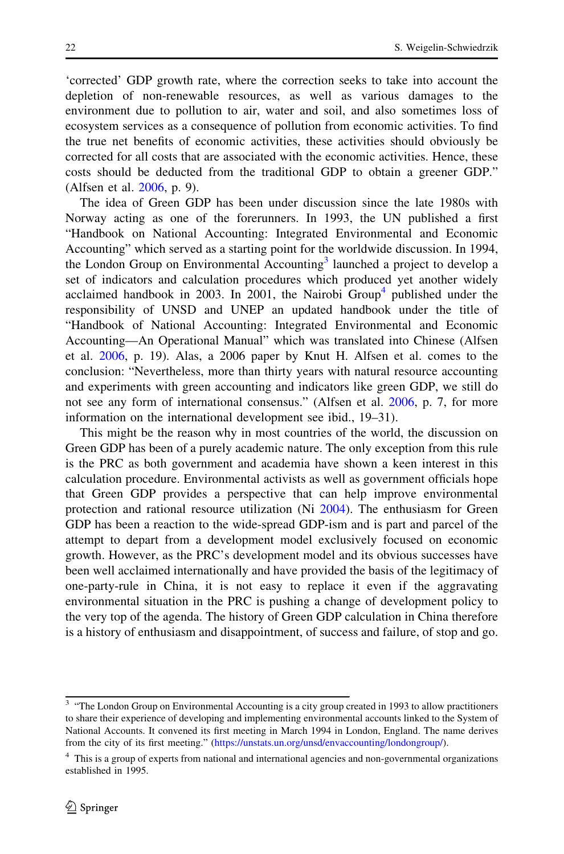'corrected' GDP growth rate, where the correction seeks to take into account the depletion of non-renewable resources, as well as various damages to the environment due to pollution to air, water and soil, and also sometimes loss of ecosystem services as a consequence of pollution from economic activities. To find the true net benefits of economic activities, these activities should obviously be corrected for all costs that are associated with the economic activities. Hence, these costs should be deducted from the traditional GDP to obtain a greener GDP." (Alfsen et al. [2006,](#page-18-0) p. 9).

The idea of Green GDP has been under discussion since the late 1980s with Norway acting as one of the forerunners. In 1993, the UN published a first "Handbook on National Accounting: Integrated Environmental and Economic Accounting" which served as a starting point for the worldwide discussion. In 1994, the London Group on Environmental Accounting<sup>3</sup> launched a project to develop a set of indicators and calculation procedures which produced yet another widely acclaimed handbook in 2003. In 2001, the Nairobi Group<sup>4</sup> published under the responsibility of UNSD and UNEP an updated handbook under the title of "Handbook of National Accounting: Integrated Environmental and Economic Accounting—An Operational Manual" which was translated into Chinese (Alfsen et al. [2006](#page-18-0), p. 19). Alas, a 2006 paper by Knut H. Alfsen et al. comes to the conclusion: "Nevertheless, more than thirty years with natural resource accounting and experiments with green accounting and indicators like green GDP, we still do not see any form of international consensus." (Alfsen et al. [2006](#page-18-0), p. 7, for more information on the international development see ibid., 19–31).

This might be the reason why in most countries of the world, the discussion on Green GDP has been of a purely academic nature. The only exception from this rule is the PRC as both government and academia have shown a keen interest in this calculation procedure. Environmental activists as well as government officials hope that Green GDP provides a perspective that can help improve environmental protection and rational resource utilization (Ni [2004](#page-19-0)). The enthusiasm for Green GDP has been a reaction to the wide-spread GDP-ism and is part and parcel of the attempt to depart from a development model exclusively focused on economic growth. However, as the PRC's development model and its obvious successes have been well acclaimed internationally and have provided the basis of the legitimacy of one-party-rule in China, it is not easy to replace it even if the aggravating environmental situation in the PRC is pushing a change of development policy to the very top of the agenda. The history of Green GDP calculation in China therefore is a history of enthusiasm and disappointment, of success and failure, of stop and go.

<sup>&</sup>lt;sup>3</sup> "The London Group on Environmental Accounting is a city group created in 1993 to allow practitioners to share their experience of developing and implementing environmental accounts linked to the System of National Accounts. It convened its first meeting in March 1994 in London, England. The name derives from the city of its first meeting." [\(https://unstats.un.org/unsd/envaccounting/londongroup/](https://unstats.un.org/unsd/envaccounting/londongroup/)).

<sup>4</sup> This is a group of experts from national and international agencies and non-governmental organizations established in 1995.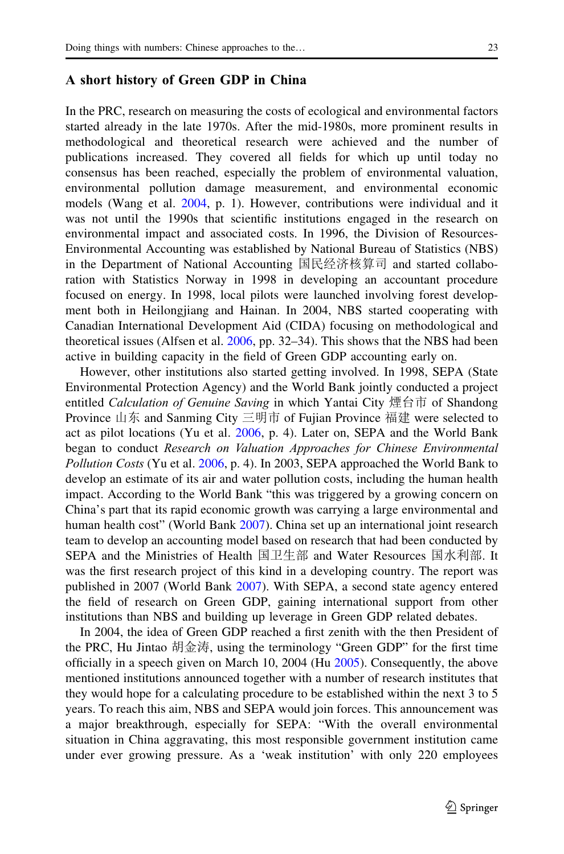# A short history of Green GDP in China

In the PRC, research on measuring the costs of ecological and environmental factors started already in the late 1970s. After the mid-1980s, more prominent results in methodological and theoretical research were achieved and the number of publications increased. They covered all fields for which up until today no consensus has been reached, especially the problem of environmental valuation, environmental pollution damage measurement, and environmental economic models (Wang et al. [2004](#page-20-0), p. 1). However, contributions were individual and it was not until the 1990s that scientific institutions engaged in the research on environmental impact and associated costs. In 1996, the Division of Resources-Environmental Accounting was established by National Bureau of Statistics (NBS) in the Department of National Accounting 国民经济核算司 and started collaboration with Statistics Norway in 1998 in developing an accountant procedure focused on energy. In 1998, local pilots were launched involving forest development both in Heilongjiang and Hainan. In 2004, NBS started cooperating with Canadian International Development Aid (CIDA) focusing on methodological and theoretical issues (Alfsen et al. [2006,](#page-18-0) pp. 32–34). This shows that the NBS had been active in building capacity in the field of Green GDP accounting early on.

However, other institutions also started getting involved. In 1998, SEPA (State Environmental Protection Agency) and the World Bank jointly conducted a project entitled *Calculation of Genuine Saving* in which Yantai City 煙台市 of Shandong Province 山东 and Sanming City 三明市 of Fujian Province 福建 were selected to act as pilot locations (Yu et al. [2006,](#page-20-0) p. 4). Later on, SEPA and the World Bank began to conduct Research on Valuation Approaches for Chinese Environmental Pollution Costs (Yu et al. [2006,](#page-20-0) p. 4). In 2003, SEPA approached the World Bank to develop an estimate of its air and water pollution costs, including the human health impact. According to the World Bank "this was triggered by a growing concern on China's part that its rapid economic growth was carrying a large environmental and human health cost" (World Bank [2007\)](#page-20-0). China set up an international joint research team to develop an accounting model based on research that had been conducted by SEPA and the Ministries of Health 国卫生部 and Water Resources 国水利部. It was the first research project of this kind in a developing country. The report was published in 2007 (World Bank [2007](#page-20-0)). With SEPA, a second state agency entered the field of research on Green GDP, gaining international support from other institutions than NBS and building up leverage in Green GDP related debates.

In 2004, the idea of Green GDP reached a first zenith with the then President of the PRC, Hu Jintao 胡金涛, using the terminology "Green GDP" for the first time officially in a speech given on March 10, 2004 (Hu [2005\)](#page-19-0). Consequently, the above mentioned institutions announced together with a number of research institutes that they would hope for a calculating procedure to be established within the next 3 to 5 years. To reach this aim, NBS and SEPA would join forces. This announcement was a major breakthrough, especially for SEPA: "With the overall environmental situation in China aggravating, this most responsible government institution came under ever growing pressure. As a 'weak institution' with only 220 employees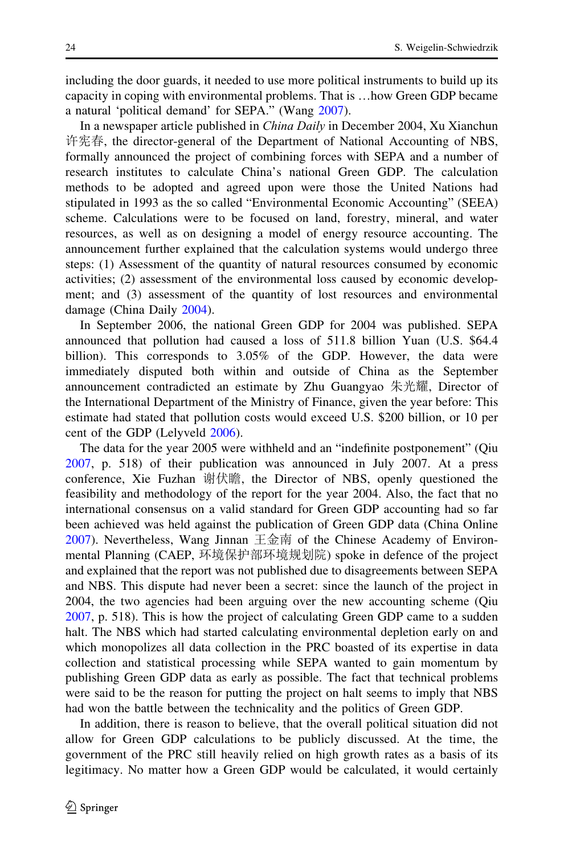including the door guards, it needed to use more political instruments to build up its capacity in coping with environmental problems. That is …how Green GDP became a natural 'political demand' for SEPA." (Wang [2007](#page-20-0)).

In a newspaper article published in China Daily in December 2004, Xu Xianchun 许宪春, the director-general of the Department of National Accounting of NBS, formally announced the project of combining forces with SEPA and a number of research institutes to calculate China's national Green GDP. The calculation methods to be adopted and agreed upon were those the United Nations had stipulated in 1993 as the so called "Environmental Economic Accounting" (SEEA) scheme. Calculations were to be focused on land, forestry, mineral, and water resources, as well as on designing a model of energy resource accounting. The announcement further explained that the calculation systems would undergo three steps: (1) Assessment of the quantity of natural resources consumed by economic activities; (2) assessment of the environmental loss caused by economic development; and (3) assessment of the quantity of lost resources and environmental damage (China Daily [2004\)](#page-19-0).

In September 2006, the national Green GDP for 2004 was published. SEPA announced that pollution had caused a loss of 511.8 billion Yuan (U.S. \$64.4 billion). This corresponds to 3.05% of the GDP. However, the data were immediately disputed both within and outside of China as the September announcement contradicted an estimate by Zhu Guangyao 朱光耀, Director of the International Department of the Ministry of Finance, given the year before: This estimate had stated that pollution costs would exceed U.S. \$200 billion, or 10 per cent of the GDP (Lelyveld [2006\)](#page-19-0).

The data for the year 2005 were withheld and an "indefinite postponement" (Qiu [2007,](#page-20-0) p. 518) of their publication was announced in July 2007. At a press conference, Xie Fuzhan 谢伏瞻, the Director of NBS, openly questioned the feasibility and methodology of the report for the year 2004. Also, the fact that no international consensus on a valid standard for Green GDP accounting had so far been achieved was held against the publication of Green GDP data (China Online [2007\)](#page-19-0). Nevertheless, Wang Jinnan 王金南 of the Chinese Academy of Environmental Planning (CAEP, 环境保护部环境规划院) spoke in defence of the project and explained that the report was not published due to disagreements between SEPA and NBS. This dispute had never been a secret: since the launch of the project in 2004, the two agencies had been arguing over the new accounting scheme (Qiu [2007,](#page-20-0) p. 518). This is how the project of calculating Green GDP came to a sudden halt. The NBS which had started calculating environmental depletion early on and which monopolizes all data collection in the PRC boasted of its expertise in data collection and statistical processing while SEPA wanted to gain momentum by publishing Green GDP data as early as possible. The fact that technical problems were said to be the reason for putting the project on halt seems to imply that NBS had won the battle between the technicality and the politics of Green GDP.

In addition, there is reason to believe, that the overall political situation did not allow for Green GDP calculations to be publicly discussed. At the time, the government of the PRC still heavily relied on high growth rates as a basis of its legitimacy. No matter how a Green GDP would be calculated, it would certainly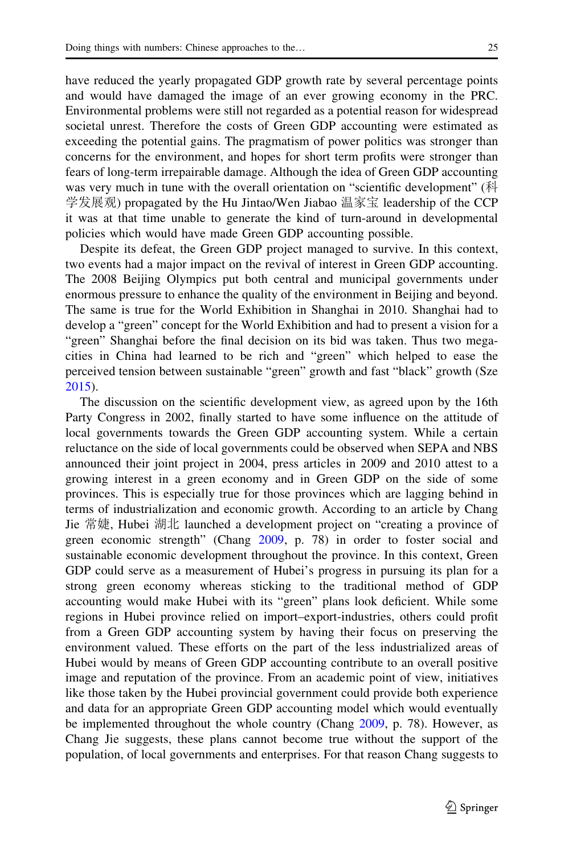have reduced the yearly propagated GDP growth rate by several percentage points and would have damaged the image of an ever growing economy in the PRC. Environmental problems were still not regarded as a potential reason for widespread societal unrest. Therefore the costs of Green GDP accounting were estimated as exceeding the potential gains. The pragmatism of power politics was stronger than concerns for the environment, and hopes for short term profits were stronger than fears of long-term irrepairable damage. Although the idea of Green GDP accounting was very much in tune with the overall orientation on "scientific development" (科 学发展观) propagated by the Hu Jintao/Wen Jiabao 温家宝 leadership of the CCP it was at that time unable to generate the kind of turn-around in developmental policies which would have made Green GDP accounting possible.

Despite its defeat, the Green GDP project managed to survive. In this context, two events had a major impact on the revival of interest in Green GDP accounting. The 2008 Beijing Olympics put both central and municipal governments under enormous pressure to enhance the quality of the environment in Beijing and beyond. The same is true for the World Exhibition in Shanghai in 2010. Shanghai had to develop a "green" concept for the World Exhibition and had to present a vision for a "green" Shanghai before the final decision on its bid was taken. Thus two megacities in China had learned to be rich and "green" which helped to ease the perceived tension between sustainable "green" growth and fast "black" growth (Sze [2015\)](#page-20-0).

The discussion on the scientific development view, as agreed upon by the 16th Party Congress in 2002, finally started to have some influence on the attitude of local governments towards the Green GDP accounting system. While a certain reluctance on the side of local governments could be observed when SEPA and NBS announced their joint project in 2004, press articles in 2009 and 2010 attest to a growing interest in a green economy and in Green GDP on the side of some provinces. This is especially true for those provinces which are lagging behind in terms of industrialization and economic growth. According to an article by Chang Jie 常婕, Hubei 湖北 launched a development project on "creating a province of green economic strength" (Chang [2009](#page-19-0), p. 78) in order to foster social and sustainable economic development throughout the province. In this context, Green GDP could serve as a measurement of Hubei's progress in pursuing its plan for a strong green economy whereas sticking to the traditional method of GDP accounting would make Hubei with its "green" plans look deficient. While some regions in Hubei province relied on import–export-industries, others could profit from a Green GDP accounting system by having their focus on preserving the environment valued. These efforts on the part of the less industrialized areas of Hubei would by means of Green GDP accounting contribute to an overall positive image and reputation of the province. From an academic point of view, initiatives like those taken by the Hubei provincial government could provide both experience and data for an appropriate Green GDP accounting model which would eventually be implemented throughout the whole country (Chang [2009,](#page-19-0) p. 78). However, as Chang Jie suggests, these plans cannot become true without the support of the population, of local governments and enterprises. For that reason Chang suggests to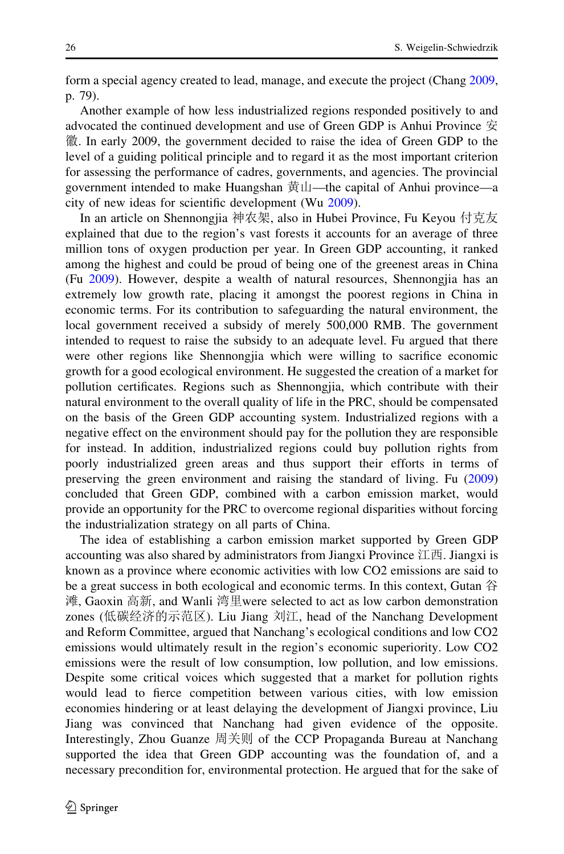form a special agency created to lead, manage, and execute the project (Chang [2009,](#page-19-0) p. 79).

Another example of how less industrialized regions responded positively to and advocated the continued development and use of Green GDP is Anhui Province 安 徽. In early 2009, the government decided to raise the idea of Green GDP to the level of a guiding political principle and to regard it as the most important criterion for assessing the performance of cadres, governments, and agencies. The provincial government intended to make Huangshan 黄山—the capital of Anhui province—a city of new ideas for scientific development (Wu [2009\)](#page-20-0).

In an article on Shennongjia 神农架, also in Hubei Province, Fu Keyou 付克友 explained that due to the region's vast forests it accounts for an average of three million tons of oxygen production per year. In Green GDP accounting, it ranked among the highest and could be proud of being one of the greenest areas in China (Fu [2009](#page-19-0)). However, despite a wealth of natural resources, Shennongjia has an extremely low growth rate, placing it amongst the poorest regions in China in economic terms. For its contribution to safeguarding the natural environment, the local government received a subsidy of merely 500,000 RMB. The government intended to request to raise the subsidy to an adequate level. Fu argued that there were other regions like Shennongjia which were willing to sacrifice economic growth for a good ecological environment. He suggested the creation of a market for pollution certificates. Regions such as Shennongjia, which contribute with their natural environment to the overall quality of life in the PRC, should be compensated on the basis of the Green GDP accounting system. Industrialized regions with a negative effect on the environment should pay for the pollution they are responsible for instead. In addition, industrialized regions could buy pollution rights from poorly industrialized green areas and thus support their efforts in terms of preserving the green environment and raising the standard of living. Fu [\(2009\)](#page-19-0) concluded that Green GDP, combined with a carbon emission market, would provide an opportunity for the PRC to overcome regional disparities without forcing the industrialization strategy on all parts of China.

The idea of establishing a carbon emission market supported by Green GDP accounting was also shared by administrators from Jiangxi Province  $\mathcal{I}\mathcal{I}\mathcal{I}$ . Jiangxi is known as a province where economic activities with low CO2 emissions are said to be a great success in both ecological and economic terms. In this context, Gutan 谷 滩, Gaoxin 高新, and Wanli 湾里were selected to act as low carbon demonstration zones (低碳经济的示范区). Liu Jiang 刘江, head of the Nanchang Development and Reform Committee, argued that Nanchang's ecological conditions and low CO2 emissions would ultimately result in the region's economic superiority. Low CO2 emissions were the result of low consumption, low pollution, and low emissions. Despite some critical voices which suggested that a market for pollution rights would lead to fierce competition between various cities, with low emission economies hindering or at least delaying the development of Jiangxi province, Liu Jiang was convinced that Nanchang had given evidence of the opposite. Interestingly, Zhou Guanze 周关则 of the CCP Propaganda Bureau at Nanchang supported the idea that Green GDP accounting was the foundation of, and a necessary precondition for, environmental protection. He argued that for the sake of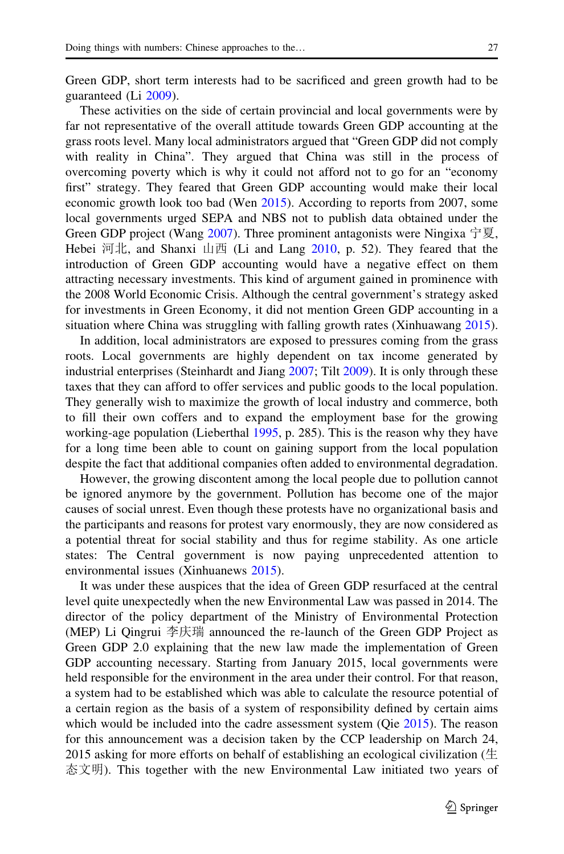Green GDP, short term interests had to be sacrificed and green growth had to be guaranteed (Li [2009\)](#page-19-0).

These activities on the side of certain provincial and local governments were by far not representative of the overall attitude towards Green GDP accounting at the grass roots level. Many local administrators argued that "Green GDP did not comply with reality in China". They argued that China was still in the process of overcoming poverty which is why it could not afford not to go for an "economy first" strategy. They feared that Green GDP accounting would make their local economic growth look too bad (Wen [2015\)](#page-20-0). According to reports from 2007, some local governments urged SEPA and NBS not to publish data obtained under the Green GDP project (Wang [2007\)](#page-20-0). Three prominent antagonists were Ningixa 宁夏, Hebei 河北, and Shanxi 山西 (Li and Lang [2010,](#page-19-0) p. 52). They feared that the introduction of Green GDP accounting would have a negative effect on them attracting necessary investments. This kind of argument gained in prominence with the 2008 World Economic Crisis. Although the central government's strategy asked for investments in Green Economy, it did not mention Green GDP accounting in a situation where China was struggling with falling growth rates (Xinhuawang [2015\)](#page-20-0).

In addition, local administrators are exposed to pressures coming from the grass roots. Local governments are highly dependent on tax income generated by industrial enterprises (Steinhardt and Jiang [2007](#page-20-0); Tilt [2009](#page-20-0)). It is only through these taxes that they can afford to offer services and public goods to the local population. They generally wish to maximize the growth of local industry and commerce, both to fill their own coffers and to expand the employment base for the growing working-age population (Lieberthal [1995](#page-19-0), p. 285). This is the reason why they have for a long time been able to count on gaining support from the local population despite the fact that additional companies often added to environmental degradation.

However, the growing discontent among the local people due to pollution cannot be ignored anymore by the government. Pollution has become one of the major causes of social unrest. Even though these protests have no organizational basis and the participants and reasons for protest vary enormously, they are now considered as a potential threat for social stability and thus for regime stability. As one article states: The Central government is now paying unprecedented attention to environmental issues (Xinhuanews [2015\)](#page-20-0).

It was under these auspices that the idea of Green GDP resurfaced at the central level quite unexpectedly when the new Environmental Law was passed in 2014. The director of the policy department of the Ministry of Environmental Protection (MEP) Li Qingrui 李庆瑞 announced the re-launch of the Green GDP Project as Green GDP 2.0 explaining that the new law made the implementation of Green GDP accounting necessary. Starting from January 2015, local governments were held responsible for the environment in the area under their control. For that reason, a system had to be established which was able to calculate the resource potential of a certain region as the basis of a system of responsibility defined by certain aims which would be included into the cadre assessment system (Qie [2015\)](#page-19-0). The reason for this announcement was a decision taken by the CCP leadership on March 24, 2015 asking for more efforts on behalf of establishing an ecological civilization ( $\pm$ ) 态文明). This together with the new Environmental Law initiated two years of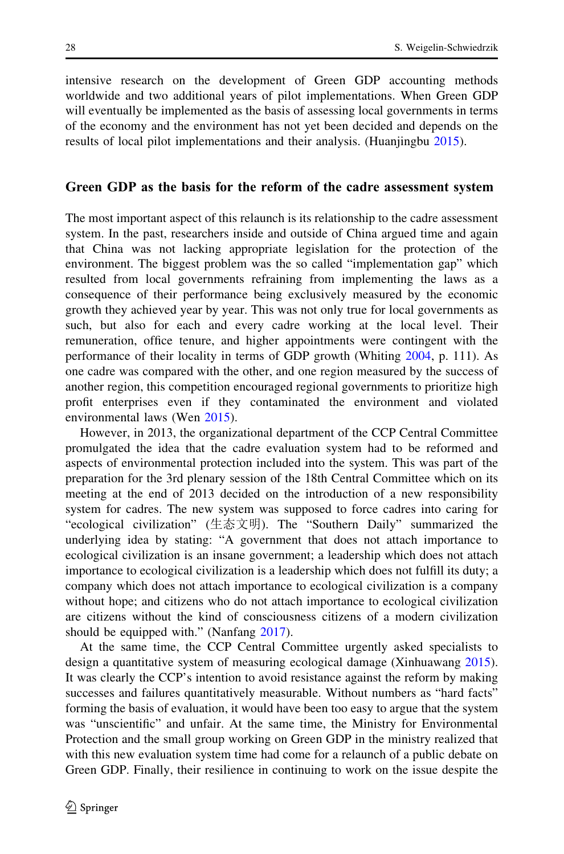intensive research on the development of Green GDP accounting methods worldwide and two additional years of pilot implementations. When Green GDP will eventually be implemented as the basis of assessing local governments in terms of the economy and the environment has not yet been decided and depends on the results of local pilot implementations and their analysis. (Huanjingbu [2015](#page-19-0)).

## Green GDP as the basis for the reform of the cadre assessment system

The most important aspect of this relaunch is its relationship to the cadre assessment system. In the past, researchers inside and outside of China argued time and again that China was not lacking appropriate legislation for the protection of the environment. The biggest problem was the so called "implementation gap" which resulted from local governments refraining from implementing the laws as a consequence of their performance being exclusively measured by the economic growth they achieved year by year. This was not only true for local governments as such, but also for each and every cadre working at the local level. Their remuneration, office tenure, and higher appointments were contingent with the performance of their locality in terms of GDP growth (Whiting [2004](#page-20-0), p. 111). As one cadre was compared with the other, and one region measured by the success of another region, this competition encouraged regional governments to prioritize high profit enterprises even if they contaminated the environment and violated environmental laws (Wen [2015](#page-20-0)).

However, in 2013, the organizational department of the CCP Central Committee promulgated the idea that the cadre evaluation system had to be reformed and aspects of environmental protection included into the system. This was part of the preparation for the 3rd plenary session of the 18th Central Committee which on its meeting at the end of 2013 decided on the introduction of a new responsibility system for cadres. The new system was supposed to force cadres into caring for "ecological civilization" (生态文明). The "Southern Daily" summarized the underlying idea by stating: "A government that does not attach importance to ecological civilization is an insane government; a leadership which does not attach importance to ecological civilization is a leadership which does not fulfill its duty; a company which does not attach importance to ecological civilization is a company without hope; and citizens who do not attach importance to ecological civilization are citizens without the kind of consciousness citizens of a modern civilization should be equipped with." (Nanfang [2017\)](#page-19-0).

At the same time, the CCP Central Committee urgently asked specialists to design a quantitative system of measuring ecological damage (Xinhuawang [2015\)](#page-20-0). It was clearly the CCP's intention to avoid resistance against the reform by making successes and failures quantitatively measurable. Without numbers as "hard facts" forming the basis of evaluation, it would have been too easy to argue that the system was "unscientific" and unfair. At the same time, the Ministry for Environmental Protection and the small group working on Green GDP in the ministry realized that with this new evaluation system time had come for a relaunch of a public debate on Green GDP. Finally, their resilience in continuing to work on the issue despite the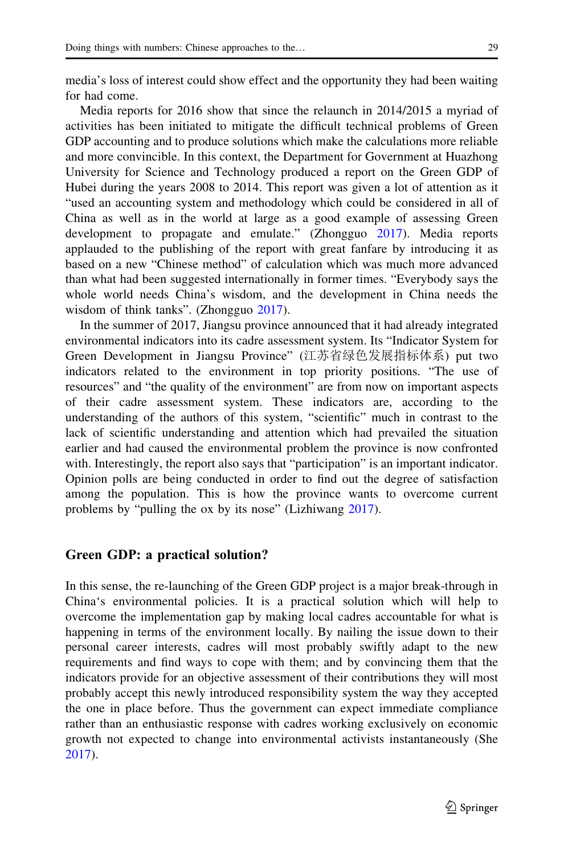media's loss of interest could show effect and the opportunity they had been waiting for had come.

Media reports for 2016 show that since the relaunch in 2014/2015 a myriad of activities has been initiated to mitigate the difficult technical problems of Green GDP accounting and to produce solutions which make the calculations more reliable and more convincible. In this context, the Department for Government at Huazhong University for Science and Technology produced a report on the Green GDP of Hubei during the years 2008 to 2014. This report was given a lot of attention as it "used an accounting system and methodology which could be considered in all of China as well as in the world at large as a good example of assessing Green development to propagate and emulate." (Zhongguo [2017\)](#page-20-0). Media reports applauded to the publishing of the report with great fanfare by introducing it as based on a new "Chinese method" of calculation which was much more advanced than what had been suggested internationally in former times. "Everybody says the whole world needs China's wisdom, and the development in China needs the wisdom of think tanks". (Zhongguo [2017\)](#page-20-0).

In the summer of 2017, Jiangsu province announced that it had already integrated environmental indicators into its cadre assessment system. Its "Indicator System for Green Development in Jiangsu Province" (江苏省绿色发展指标体系) put two indicators related to the environment in top priority positions. "The use of resources" and "the quality of the environment" are from now on important aspects of their cadre assessment system. These indicators are, according to the understanding of the authors of this system, "scientific" much in contrast to the lack of scientific understanding and attention which had prevailed the situation earlier and had caused the environmental problem the province is now confronted with. Interestingly, the report also says that "participation" is an important indicator. Opinion polls are being conducted in order to find out the degree of satisfaction among the population. This is how the province wants to overcome current problems by "pulling the ox by its nose" (Lizhiwang [2017\)](#page-19-0).

#### Green GDP: a practical solution?

In this sense, the re-launching of the Green GDP project is a major break-through in China's environmental policies. It is a practical solution which will help to overcome the implementation gap by making local cadres accountable for what is happening in terms of the environment locally. By nailing the issue down to their personal career interests, cadres will most probably swiftly adapt to the new requirements and find ways to cope with them; and by convincing them that the indicators provide for an objective assessment of their contributions they will most probably accept this newly introduced responsibility system the way they accepted the one in place before. Thus the government can expect immediate compliance rather than an enthusiastic response with cadres working exclusively on economic growth not expected to change into environmental activists instantaneously (She [2017\)](#page-20-0).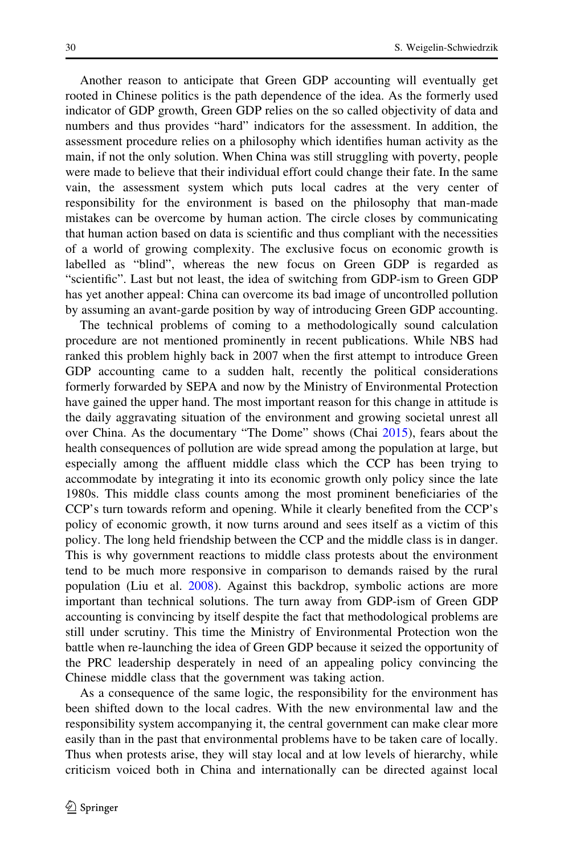Another reason to anticipate that Green GDP accounting will eventually get rooted in Chinese politics is the path dependence of the idea. As the formerly used indicator of GDP growth, Green GDP relies on the so called objectivity of data and numbers and thus provides "hard" indicators for the assessment. In addition, the assessment procedure relies on a philosophy which identifies human activity as the main, if not the only solution. When China was still struggling with poverty, people were made to believe that their individual effort could change their fate. In the same vain, the assessment system which puts local cadres at the very center of responsibility for the environment is based on the philosophy that man-made mistakes can be overcome by human action. The circle closes by communicating that human action based on data is scientific and thus compliant with the necessities of a world of growing complexity. The exclusive focus on economic growth is labelled as "blind", whereas the new focus on Green GDP is regarded as "scientific". Last but not least, the idea of switching from GDP-ism to Green GDP has yet another appeal: China can overcome its bad image of uncontrolled pollution by assuming an avant-garde position by way of introducing Green GDP accounting.

The technical problems of coming to a methodologically sound calculation procedure are not mentioned prominently in recent publications. While NBS had ranked this problem highly back in 2007 when the first attempt to introduce Green GDP accounting came to a sudden halt, recently the political considerations formerly forwarded by SEPA and now by the Ministry of Environmental Protection have gained the upper hand. The most important reason for this change in attitude is the daily aggravating situation of the environment and growing societal unrest all over China. As the documentary "The Dome" shows (Chai [2015](#page-19-0)), fears about the health consequences of pollution are wide spread among the population at large, but especially among the affluent middle class which the CCP has been trying to accommodate by integrating it into its economic growth only policy since the late 1980s. This middle class counts among the most prominent beneficiaries of the CCP's turn towards reform and opening. While it clearly benefited from the CCP's policy of economic growth, it now turns around and sees itself as a victim of this policy. The long held friendship between the CCP and the middle class is in danger. This is why government reactions to middle class protests about the environment tend to be much more responsive in comparison to demands raised by the rural population (Liu et al. [2008\)](#page-19-0). Against this backdrop, symbolic actions are more important than technical solutions. The turn away from GDP-ism of Green GDP accounting is convincing by itself despite the fact that methodological problems are still under scrutiny. This time the Ministry of Environmental Protection won the battle when re-launching the idea of Green GDP because it seized the opportunity of the PRC leadership desperately in need of an appealing policy convincing the Chinese middle class that the government was taking action.

As a consequence of the same logic, the responsibility for the environment has been shifted down to the local cadres. With the new environmental law and the responsibility system accompanying it, the central government can make clear more easily than in the past that environmental problems have to be taken care of locally. Thus when protests arise, they will stay local and at low levels of hierarchy, while criticism voiced both in China and internationally can be directed against local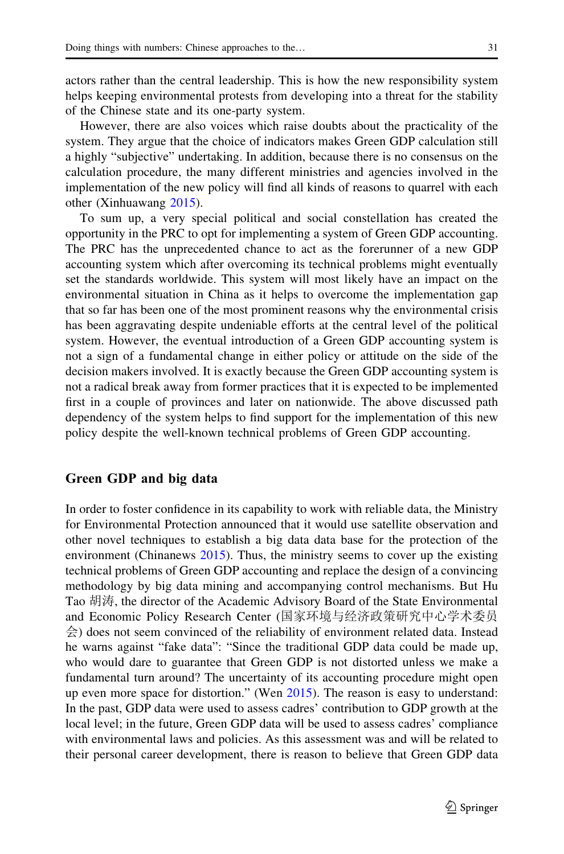actors rather than the central leadership. This is how the new responsibility system helps keeping environmental protests from developing into a threat for the stability of the Chinese state and its one-party system.

However, there are also voices which raise doubts about the practicality of the system. They argue that the choice of indicators makes Green GDP calculation still a highly "subjective" undertaking. In addition, because there is no consensus on the calculation procedure, the many different ministries and agencies involved in the implementation of the new policy will find all kinds of reasons to quarrel with each other (Xinhuawang [2015\)](#page-20-0).

To sum up, a very special political and social constellation has created the opportunity in the PRC to opt for implementing a system of Green GDP accounting. The PRC has the unprecedented chance to act as the forerunner of a new GDP accounting system which after overcoming its technical problems might eventually set the standards worldwide. This system will most likely have an impact on the environmental situation in China as it helps to overcome the implementation gap that so far has been one of the most prominent reasons why the environmental crisis has been aggravating despite undeniable efforts at the central level of the political system. However, the eventual introduction of a Green GDP accounting system is not a sign of a fundamental change in either policy or attitude on the side of the decision makers involved. It is exactly because the Green GDP accounting system is not a radical break away from former practices that it is expected to be implemented first in a couple of provinces and later on nationwide. The above discussed path dependency of the system helps to find support for the implementation of this new policy despite the well-known technical problems of Green GDP accounting.

#### Green GDP and big data

In order to foster confidence in its capability to work with reliable data, the Ministry for Environmental Protection announced that it would use satellite observation and other novel techniques to establish a big data data base for the protection of the environment (Chinanews [2015](#page-19-0)). Thus, the ministry seems to cover up the existing technical problems of Green GDP accounting and replace the design of a convincing methodology by big data mining and accompanying control mechanisms. But Hu Tao 胡涛, the director of the Academic Advisory Board of the State Environmental and Economic Policy Research Center (国家环境与经济政策研究中心学术委员 会) does not seem convinced of the reliability of environment related data. Instead he warns against "fake data": "Since the traditional GDP data could be made up, who would dare to guarantee that Green GDP is not distorted unless we make a fundamental turn around? The uncertainty of its accounting procedure might open up even more space for distortion." (Wen [2015](#page-20-0)). The reason is easy to understand: In the past, GDP data were used to assess cadres' contribution to GDP growth at the local level; in the future, Green GDP data will be used to assess cadres' compliance with environmental laws and policies. As this assessment was and will be related to their personal career development, there is reason to believe that Green GDP data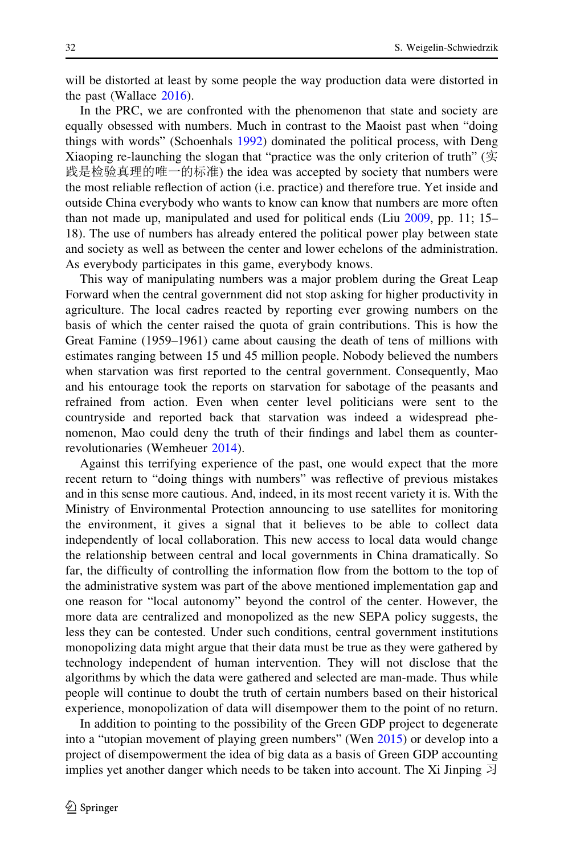will be distorted at least by some people the way production data were distorted in the past (Wallace [2016\)](#page-20-0).

In the PRC, we are confronted with the phenomenon that state and society are equally obsessed with numbers. Much in contrast to the Maoist past when "doing things with words" (Schoenhals [1992\)](#page-20-0) dominated the political process, with Deng Xiaoping re-launching the slogan that "practice was the only criterion of truth" (实 践是检验真理的唯一的标准) the idea was accepted by society that numbers were the most reliable reflection of action (i.e. practice) and therefore true. Yet inside and outside China everybody who wants to know can know that numbers are more often than not made up, manipulated and used for political ends (Liu [2009](#page-19-0), pp. 11; 15– 18). The use of numbers has already entered the political power play between state and society as well as between the center and lower echelons of the administration. As everybody participates in this game, everybody knows.

This way of manipulating numbers was a major problem during the Great Leap Forward when the central government did not stop asking for higher productivity in agriculture. The local cadres reacted by reporting ever growing numbers on the basis of which the center raised the quota of grain contributions. This is how the Great Famine (1959–1961) came about causing the death of tens of millions with estimates ranging between 15 und 45 million people. Nobody believed the numbers when starvation was first reported to the central government. Consequently, Mao and his entourage took the reports on starvation for sabotage of the peasants and refrained from action. Even when center level politicians were sent to the countryside and reported back that starvation was indeed a widespread phenomenon, Mao could deny the truth of their findings and label them as counterrevolutionaries (Wemheuer [2014](#page-20-0)).

Against this terrifying experience of the past, one would expect that the more recent return to "doing things with numbers" was reflective of previous mistakes and in this sense more cautious. And, indeed, in its most recent variety it is. With the Ministry of Environmental Protection announcing to use satellites for monitoring the environment, it gives a signal that it believes to be able to collect data independently of local collaboration. This new access to local data would change the relationship between central and local governments in China dramatically. So far, the difficulty of controlling the information flow from the bottom to the top of the administrative system was part of the above mentioned implementation gap and one reason for "local autonomy" beyond the control of the center. However, the more data are centralized and monopolized as the new SEPA policy suggests, the less they can be contested. Under such conditions, central government institutions monopolizing data might argue that their data must be true as they were gathered by technology independent of human intervention. They will not disclose that the algorithms by which the data were gathered and selected are man-made. Thus while people will continue to doubt the truth of certain numbers based on their historical experience, monopolization of data will disempower them to the point of no return.

In addition to pointing to the possibility of the Green GDP project to degenerate into a "utopian movement of playing green numbers" (Wen [2015](#page-20-0)) or develop into a project of disempowerment the idea of big data as a basis of Green GDP accounting implies yet another danger which needs to be taken into account. The Xi Jinping  $\overline{z}$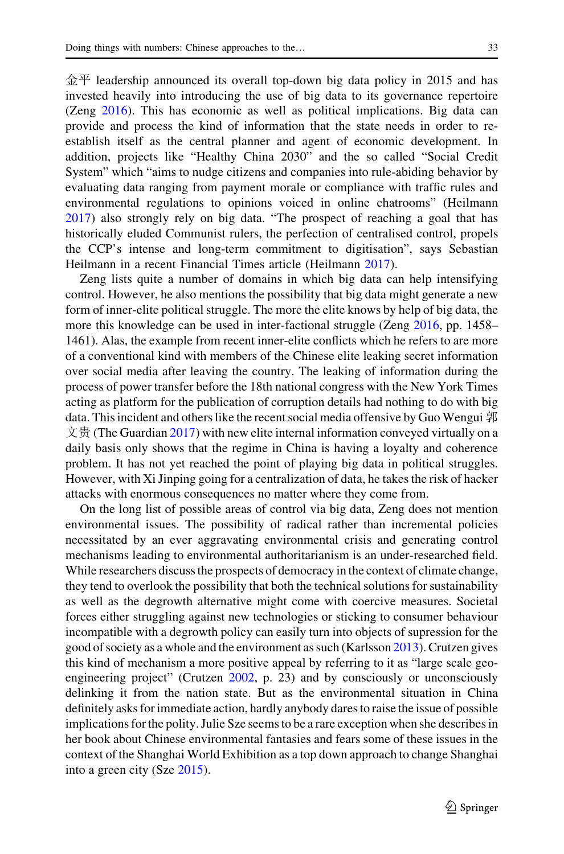金平 leadership announced its overall top-down big data policy in 2015 and has invested heavily into introducing the use of big data to its governance repertoire (Zeng [2016](#page-20-0)). This has economic as well as political implications. Big data can provide and process the kind of information that the state needs in order to reestablish itself as the central planner and agent of economic development. In addition, projects like "Healthy China 2030" and the so called "Social Credit System" which "aims to nudge citizens and companies into rule-abiding behavior by evaluating data ranging from payment morale or compliance with traffic rules and environmental regulations to opinions voiced in online chatrooms" (Heilmann [2017\)](#page-19-0) also strongly rely on big data. "The prospect of reaching a goal that has historically eluded Communist rulers, the perfection of centralised control, propels the CCP's intense and long-term commitment to digitisation", says Sebastian Heilmann in a recent Financial Times article (Heilmann [2017](#page-19-0)).

Zeng lists quite a number of domains in which big data can help intensifying control. However, he also mentions the possibility that big data might generate a new form of inner-elite political struggle. The more the elite knows by help of big data, the more this knowledge can be used in inter-factional struggle (Zeng [2016](#page-20-0), pp. 1458– 1461). Alas, the example from recent inner-elite conflicts which he refers to are more of a conventional kind with members of the Chinese elite leaking secret information over social media after leaving the country. The leaking of information during the process of power transfer before the 18th national congress with the New York Times acting as platform for the publication of corruption details had nothing to do with big data. This incident and others like the recent social media offensive by Guo Wengui 郭 文贵 (The Guardian [2017](#page-20-0)) with new elite internal information conveyed virtually on a daily basis only shows that the regime in China is having a loyalty and coherence problem. It has not yet reached the point of playing big data in political struggles. However, with Xi Jinping going for a centralization of data, he takes the risk of hacker attacks with enormous consequences no matter where they come from.

On the long list of possible areas of control via big data, Zeng does not mention environmental issues. The possibility of radical rather than incremental policies necessitated by an ever aggravating environmental crisis and generating control mechanisms leading to environmental authoritarianism is an under-researched field. While researchers discuss the prospects of democracy in the context of climate change, they tend to overlook the possibility that both the technical solutions for sustainability as well as the degrowth alternative might come with coercive measures. Societal forces either struggling against new technologies or sticking to consumer behaviour incompatible with a degrowth policy can easily turn into objects of supression for the good of society as a whole and the environment as such (Karlsson [2013\)](#page-19-0). Crutzen gives this kind of mechanism a more positive appeal by referring to it as "large scale geoengineering project" (Crutzen [2002](#page-19-0), p. 23) and by consciously or unconsciously delinking it from the nation state. But as the environmental situation in China definitely asks for immediate action, hardly anybody dares to raise the issue of possible implications for the polity. Julie Sze seems to be a rare exception when she describes in her book about Chinese environmental fantasies and fears some of these issues in the context of the Shanghai World Exhibition as a top down approach to change Shanghai into a green city (Sze [2015\)](#page-20-0).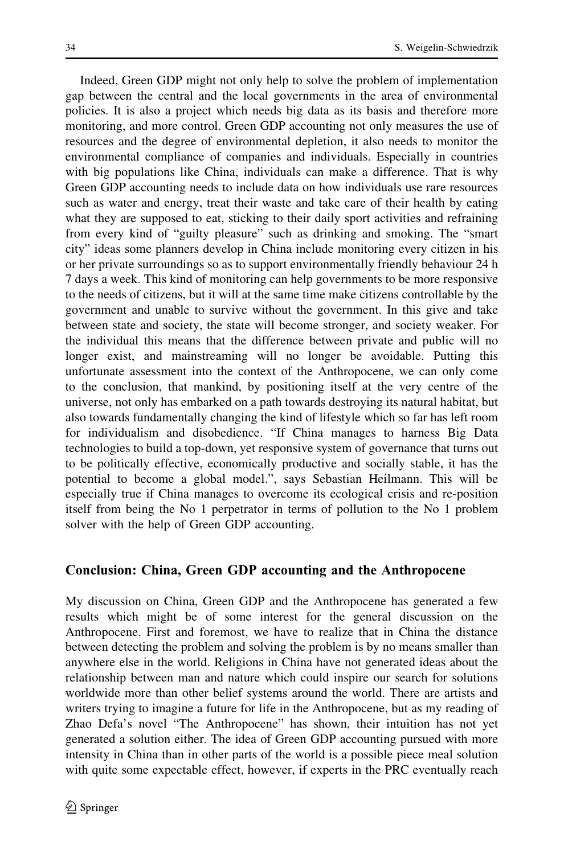Indeed, Green GDP might not only help to solve the problem of implementation gap between the central and the local governments in the area of environmental policies. It is also a project which needs big data as its basis and therefore more monitoring, and more control. Green GDP accounting not only measures the use of resources and the degree of environmental depletion, it also needs to monitor the environmental compliance of companies and individuals. Especially in countries with big populations like China, individuals can make a difference. That is why Green GDP accounting needs to include data on how individuals use rare resources such as water and energy, treat their waste and take care of their health by eating what they are supposed to eat, sticking to their daily sport activities and refraining from every kind of "guilty pleasure" such as drinking and smoking. The "smart city" ideas some planners develop in China include monitoring every citizen in his or her private surroundings so as to support environmentally friendly behaviour 24 h 7 days a week. This kind of monitoring can help governments to be more responsive to the needs of citizens, but it will at the same time make citizens controllable by the government and unable to survive without the government. In this give and take between state and society, the state will become stronger, and society weaker. For the individual this means that the difference between private and public will no longer exist, and mainstreaming will no longer be avoidable. Putting this unfortunate assessment into the context of the Anthropocene, we can only come to the conclusion, that mankind, by positioning itself at the very centre of the universe, not only has embarked on a path towards destroying its natural habitat, but also towards fundamentally changing the kind of lifestyle which so far has left room for individualism and disobedience. "If China manages to harness Big Data technologies to build a top-down, yet responsive system of governance that turns out to be politically effective, economically productive and socially stable, it has the potential to become a global model.", says Sebastian Heilmann. This will be especially true if China manages to overcome its ecological crisis and re-position itself from being the No 1 perpetrator in terms of pollution to the No 1 problem solver with the help of Green GDP accounting.

## Conclusion: China, Green GDP accounting and the Anthropocene

My discussion on China, Green GDP and the Anthropocene has generated a few results which might be of some interest for the general discussion on the Anthropocene. First and foremost, we have to realize that in China the distance between detecting the problem and solving the problem is by no means smaller than anywhere else in the world. Religions in China have not generated ideas about the relationship between man and nature which could inspire our search for solutions worldwide more than other belief systems around the world. There are artists and writers trying to imagine a future for life in the Anthropocene, but as my reading of Zhao Defa's novel "The Anthropocene" has shown, their intuition has not yet generated a solution either. The idea of Green GDP accounting pursued with more intensity in China than in other parts of the world is a possible piece meal solution with quite some expectable effect, however, if experts in the PRC eventually reach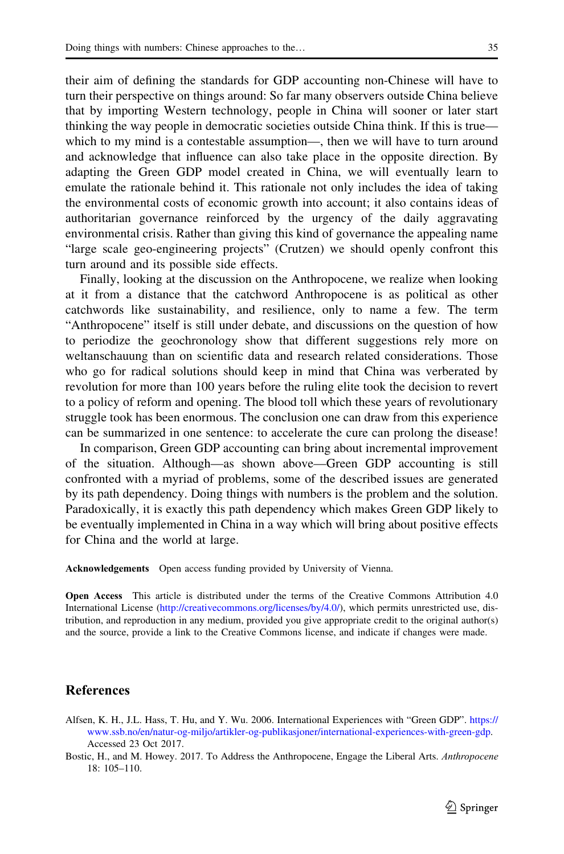<span id="page-18-0"></span>their aim of defining the standards for GDP accounting non-Chinese will have to turn their perspective on things around: So far many observers outside China believe that by importing Western technology, people in China will sooner or later start thinking the way people in democratic societies outside China think. If this is true which to my mind is a contestable assumption—, then we will have to turn around and acknowledge that influence can also take place in the opposite direction. By adapting the Green GDP model created in China, we will eventually learn to emulate the rationale behind it. This rationale not only includes the idea of taking the environmental costs of economic growth into account; it also contains ideas of authoritarian governance reinforced by the urgency of the daily aggravating environmental crisis. Rather than giving this kind of governance the appealing name "large scale geo-engineering projects" (Crutzen) we should openly confront this turn around and its possible side effects.

Finally, looking at the discussion on the Anthropocene, we realize when looking at it from a distance that the catchword Anthropocene is as political as other catchwords like sustainability, and resilience, only to name a few. The term "Anthropocene" itself is still under debate, and discussions on the question of how to periodize the geochronology show that different suggestions rely more on weltanschauung than on scientific data and research related considerations. Those who go for radical solutions should keep in mind that China was verberated by revolution for more than 100 years before the ruling elite took the decision to revert to a policy of reform and opening. The blood toll which these years of revolutionary struggle took has been enormous. The conclusion one can draw from this experience can be summarized in one sentence: to accelerate the cure can prolong the disease!

In comparison, Green GDP accounting can bring about incremental improvement of the situation. Although—as shown above—Green GDP accounting is still confronted with a myriad of problems, some of the described issues are generated by its path dependency. Doing things with numbers is the problem and the solution. Paradoxically, it is exactly this path dependency which makes Green GDP likely to be eventually implemented in China in a way which will bring about positive effects for China and the world at large.

Acknowledgements Open access funding provided by University of Vienna.

Open Access This article is distributed under the terms of the Creative Commons Attribution 4.0 International License ([http://creativecommons.org/licenses/by/4.0/\)](http://creativecommons.org/licenses/by/4.0/), which permits unrestricted use, distribution, and reproduction in any medium, provided you give appropriate credit to the original author(s) and the source, provide a link to the Creative Commons license, and indicate if changes were made.

#### References

Alfsen, K. H., J.L. Hass, T. Hu, and Y. Wu. 2006. International Experiences with "Green GDP". [https://](https://www.ssb.no/en/natur-og-miljo/artikler-og-publikasjoner/international-experiences-with-green-gdp) [www.ssb.no/en/natur-og-miljo/artikler-og-publikasjoner/international-experiences-with-green-gdp](https://www.ssb.no/en/natur-og-miljo/artikler-og-publikasjoner/international-experiences-with-green-gdp). Accessed 23 Oct 2017.

Bostic, H., and M. Howey. 2017. To Address the Anthropocene, Engage the Liberal Arts. Anthropocene 18: 105–110.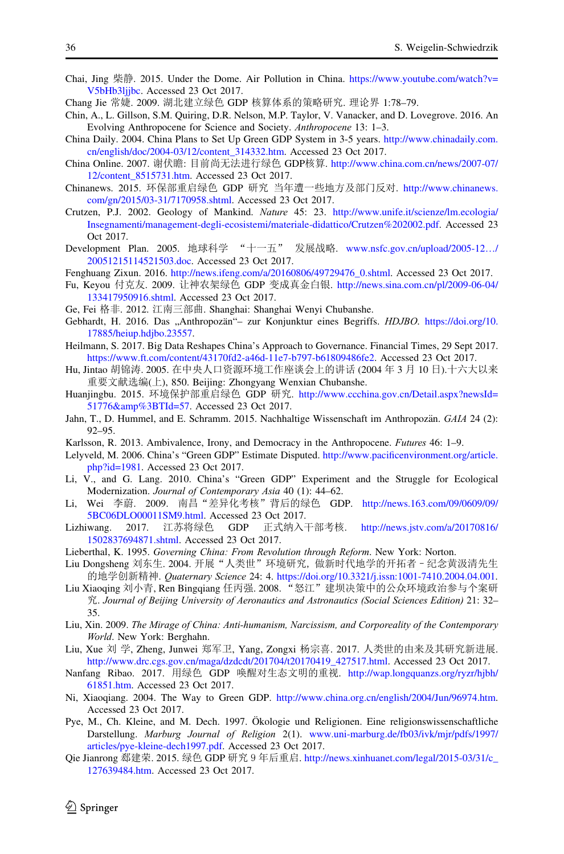- <span id="page-19-0"></span>Chai, Jing 柴静. 2015. Under the Dome. Air Pollution in China. [https://www.youtube.com/watch?v=](https://www.youtube.com/watch?v=V5bHb3ljjbc) [V5bHb3ljjbc.](https://www.youtube.com/watch?v=V5bHb3ljjbc) Accessed 23 Oct 2017.
- Chang Jie 常婕. 2009. 湖北建立绿色 GDP 核算体系的策略研究. 理论界 1:78–79.
- Chin, A., L. Gillson, S.M. Quiring, D.R. Nelson, M.P. Taylor, V. Vanacker, and D. Lovegrove. 2016. An Evolving Anthropocene for Science and Society. Anthropocene 13: 1–3.
- China Daily. 2004. China Plans to Set Up Green GDP System in 3-5 years. [http://www.chinadaily.com.](http://www.chinadaily.com.cn/english/doc/2004-03/12/content_314332.htm) [cn/english/doc/2004-03/12/content\\_314332.htm](http://www.chinadaily.com.cn/english/doc/2004-03/12/content_314332.htm). Accessed 23 Oct 2017.
- China Online. 2007. 谢伏瞻: 目前尚无法进行绿色 GDP核算. [http://www.china.com.cn/news/2007-07/](http://www.china.com.cn/news/2007-07/12/content_8515731.htm) [12/content\\_8515731.htm.](http://www.china.com.cn/news/2007-07/12/content_8515731.htm) Accessed 23 Oct 2017.
- Chinanews. 2015. 环保部重启绿色 GDP 研究 当年遭一些地方及部门反对. [http://www.chinanews.](http://www.chinanews.com/gn/2015/03-31/7170958.shtml) [com/gn/2015/03-31/7170958.shtml.](http://www.chinanews.com/gn/2015/03-31/7170958.shtml) Accessed 23 Oct 2017.
- Crutzen, P.J. 2002. Geology of Mankind. Nature 45: 23. [http://www.unife.it/scienze/lm.ecologia/](http://www.unife.it/scienze/lm.ecologia/Insegnamenti/management-degli-ecosistemi/materiale-didattico/Crutzen%202002.pdf) [Insegnamenti/management-degli-ecosistemi/materiale-didattico/Crutzen%202002.pdf](http://www.unife.it/scienze/lm.ecologia/Insegnamenti/management-degli-ecosistemi/materiale-didattico/Crutzen%202002.pdf). Accessed 23 Oct 2017.
- Development Plan. 2005. 地球科学 "十一五" 发展战略. [www.nsfc.gov.cn/upload/2005-12…/](http://www.nsfc.gov.cn/upload/2005-12%e2%80%a6/20051215114521503.doc) [20051215114521503.doc](http://www.nsfc.gov.cn/upload/2005-12%e2%80%a6/20051215114521503.doc). Accessed 23 Oct 2017.
- Fenghuang Zixun. 2016. [http://news.ifeng.com/a/20160806/49729476\\_0.shtml](http://news.ifeng.com/a/20160806/49729476_0.shtml). Accessed 23 Oct 2017.
- Fu, Keyou 付克友. 2009. 让神农架绿色 GDP 变成真金白银. [http://news.sina.com.cn/pl/2009-06-04/](http://news.sina.com.cn/pl/2009-06-04/133417950916.shtml) [133417950916.shtml](http://news.sina.com.cn/pl/2009-06-04/133417950916.shtml). Accessed 23 Oct 2017.
- Ge, Fei 格非. 2012. 江南三部曲. Shanghai: Shanghai Wenyi Chubanshe.
- Gebhardt, H. 2016. Das "Anthropozän"- zur Konjunktur eines Begriffs. HDJBO. [https://doi.org/10.](https://doi.org/10.17885/heiup.hdjbo.23557) [17885/heiup.hdjbo.23557.](https://doi.org/10.17885/heiup.hdjbo.23557)
- Heilmann, S. 2017. Big Data Reshapes China's Approach to Governance. Financial Times, 29 Sept 2017. [https://www.ft.com/content/43170fd2-a46d-11e7-b797-b61809486fe2.](https://www.ft.com/content/43170fd2-a46d-11e7-b797-b61809486fe2) Accessed 23 Oct 2017.
- Hu, Jintao 胡锦涛. 2005. 在中央人口资源环境工作座谈会上的讲话 (2004 年 3 月 10 日).十六大以来 重要文献选编(上), 850. Beijing: Zhongyang Wenxian Chubanshe.
- Huanjingbu. 2015. 环境保护部重启绿色 GDP 研究. [http://www.ccchina.gov.cn/Detail.aspx?newsId=](http://www.ccchina.gov.cn/Detail.aspx%3fnewsId%3d51776%26amp%253BTId%3d57) [51776&amp%3BTId=57.](http://www.ccchina.gov.cn/Detail.aspx%3fnewsId%3d51776%26amp%253BTId%3d57) Accessed 23 Oct 2017.
- Jahn, T., D. Hummel, and E. Schramm. 2015. Nachhaltige Wissenschaft im Anthropozän. GAIA 24 (2): 92–95.
- Karlsson, R. 2013. Ambivalence, Irony, and Democracy in the Anthropocene. Futures 46: 1–9.
- Lelyveld, M. 2006. China's "Green GDP" Estimate Disputed. [http://www.pacificenvironment.org/article.](http://www.pacificenvironment.org/article.php?id=1981) [php?id=1981](http://www.pacificenvironment.org/article.php?id=1981). Accessed 23 Oct 2017.
- Li, V., and G. Lang. 2010. China's "Green GDP" Experiment and the Struggle for Ecological Modernization. Journal of Contemporary Asia 40 (1): 44–62.
- Li, Wei 李蔚. 2009. 南昌"差异化考核"背后的绿色 GDP. [http://news.163.com/09/0609/09/](http://news.163.com/09/0609/09/5BC06DLO00011SM9.html) [5BC06DLO00011SM9.html.](http://news.163.com/09/0609/09/5BC06DLO00011SM9.html) Accessed 23 Oct 2017.<br>iwang. 2017. 江苏将绿色 GDP 正式纳入干部考核.
- Lizhiwang. 2017. 江苏将绿色 GDP 正式纳入干部考核. [http://news.jstv.com/a/20170816/](http://news.jstv.com/a/20170816/1502837694871.shtml) [1502837694871.shtml](http://news.jstv.com/a/20170816/1502837694871.shtml). Accessed 23 Oct 2017.
- Lieberthal, K. 1995. Governing China: From Revolution through Reform. New York: Norton.
- Liu Dongsheng 刘东生. 2004. 开展"人类世"环境研究, 做新时代地学的开拓者 纪念黄汲清先生 的地学创新精神. Quaternary Science 24: 4. <https://doi.org/10.3321/j.issn:1001-7410.2004.04.001>.
- Liu Xiaoqing 刘小青, Ren Bingqiang 任丙强. 2008. "怒江"建坝决策中的公众环境政治参与个案研 究. Journal of Beijing University of Aeronautics and Astronautics (Social Sciences Edition) 21: 32– 35.
- Liu, Xin. 2009. The Mirage of China: Anti-humanism, Narcissism, and Corporeality of the Contemporary World. New York: Berghahn.
- Liu, Xue 刘 学, Zheng, Junwei 郑军卫, Yang, Zongxi 杨宗喜. 2017. 人类世的由来及其研究新进展. [http://www.drc.cgs.gov.cn/maga/dzdcdt/201704/t20170419\\_427517.html](http://www.drc.cgs.gov.cn/maga/dzdcdt/201704/t20170419_427517.html). Accessed 23 Oct 2017.
- Nanfang Ribao. 2017. 用绿色 GDP 唤醒对生态文明的重视. [http://wap.longquanzs.org/ryzr/hjbh/](http://wap.longquanzs.org/ryzr/hjbh/61851.htm) [61851.htm](http://wap.longquanzs.org/ryzr/hjbh/61851.htm). Accessed 23 Oct 2017.
- Ni, Xiaoqiang. 2004. The Way to Green GDP. <http://www.china.org.cn/english/2004/Jun/96974.htm>. Accessed 23 Oct 2017.
- Pye, M., Ch. Kleine, and M. Dech. 1997. Ökologie und Religionen. Eine religionswissenschaftliche Darstellung. Marburg Journal of Religion 2(1). [www.uni-marburg.de/fb03/ivk/mjr/pdfs/1997/](http://www.uni-marburg.de/fb03/ivk/mjr/pdfs/1997/articles/pye-kleine-dech1997.pdf) [articles/pye-kleine-dech1997.pdf](http://www.uni-marburg.de/fb03/ivk/mjr/pdfs/1997/articles/pye-kleine-dech1997.pdf). Accessed 23 Oct 2017.
- Qie Jianrong 郄建荣. 2015. 绿色 GDP 研究 9 年后重启. [http://news.xinhuanet.com/legal/2015-03/31/c\\_](http://news.xinhuanet.com/legal/2015-03/31/c_127639484.htm) [127639484.htm](http://news.xinhuanet.com/legal/2015-03/31/c_127639484.htm). Accessed 23 Oct 2017.